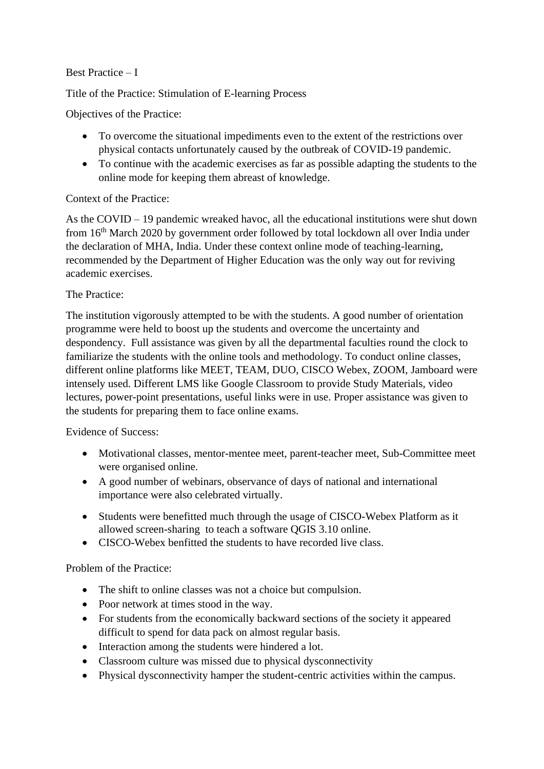## Best Practice – I

Title of the Practice: Stimulation of E-learning Process

Objectives of the Practice:

- To overcome the situational impediments even to the extent of the restrictions over physical contacts unfortunately caused by the outbreak of COVID-19 pandemic.
- To continue with the academic exercises as far as possible adapting the students to the online mode for keeping them abreast of knowledge.

## Context of the Practice:

As the COVID – 19 pandemic wreaked havoc, all the educational institutions were shut down from 16<sup>th</sup> March 2020 by government order followed by total lockdown all over India under the declaration of MHA, India. Under these context online mode of teaching-learning, recommended by the Department of Higher Education was the only way out for reviving academic exercises.

## The Practice:

The institution vigorously attempted to be with the students. A good number of orientation programme were held to boost up the students and overcome the uncertainty and despondency. Full assistance was given by all the departmental faculties round the clock to familiarize the students with the online tools and methodology. To conduct online classes, different online platforms like MEET, TEAM, DUO, CISCO Webex, ZOOM, Jamboard were intensely used. Different LMS like Google Classroom to provide Study Materials, video lectures, power-point presentations, useful links were in use. Proper assistance was given to the students for preparing them to face online exams.

Evidence of Success:

- Motivational classes, mentor-mentee meet, parent-teacher meet, Sub-Committee meet were organised online.
- A good number of webinars, observance of days of national and international importance were also celebrated virtually.
- Students were benefitted much through the usage of CISCO-Webex Platform as it allowed screen-sharing to teach a software QGIS 3.10 online.
- CISCO-Webex benfitted the students to have recorded live class.

Problem of the Practice:

- The shift to online classes was not a choice but compulsion.
- Poor network at times stood in the way.
- For students from the economically backward sections of the society it appeared difficult to spend for data pack on almost regular basis.
- Interaction among the students were hindered a lot.
- Classroom culture was missed due to physical dysconnectivity
- Physical dysconnectivity hamper the student-centric activities within the campus.